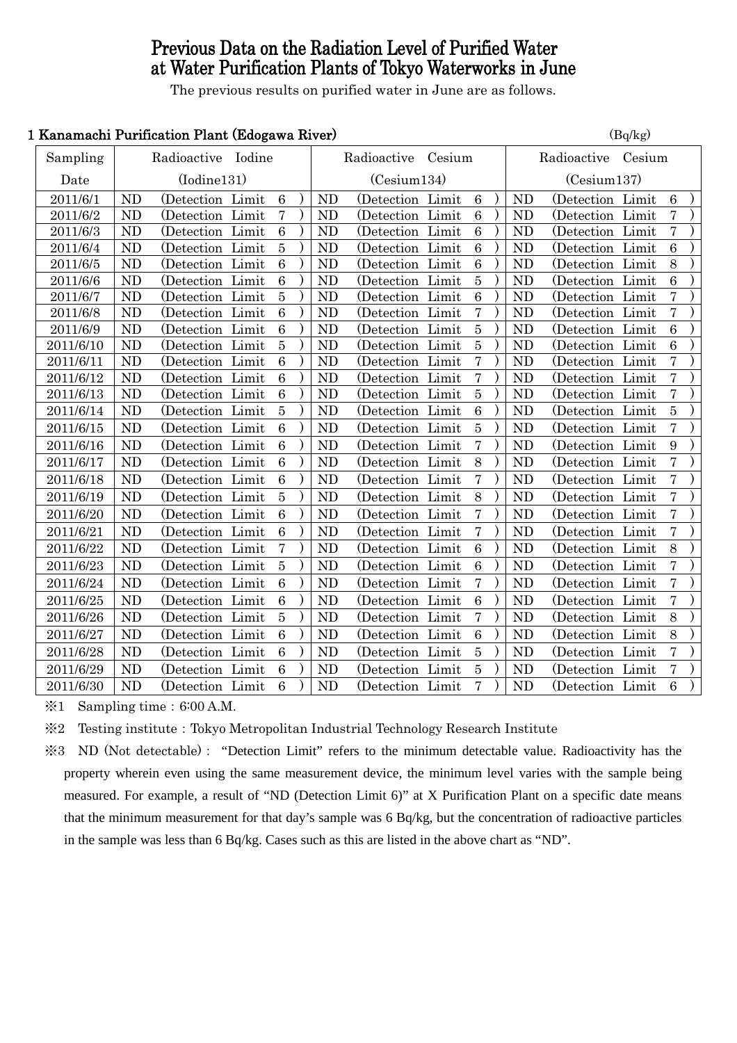# Previous Data on the Radiation Level of Purified Water at Water Purification Plants of Tokyo Waterworks in June

The previous results on purified water in June are as follows.

### 1 Kanamachi Purification Plant (Edogawa River)  $(B_0/k_g)$

|           | <u>rahamachi i urintation i iant traogawa niver</u> |                   |  |                  |  |                    |                   |  | $(\mathbf{D}\mathbf{y})$ |                    |                |                   |  |                |  |
|-----------|-----------------------------------------------------|-------------------|--|------------------|--|--------------------|-------------------|--|--------------------------|--------------------|----------------|-------------------|--|----------------|--|
| Sampling  | Radioactive Iodine                                  |                   |  |                  |  | Radioactive Cesium |                   |  |                          | Radioactive Cesium |                |                   |  |                |  |
| Date      |                                                     | (Iodine131)       |  |                  |  |                    | (Cesium134)       |  |                          |                    | (Cesium137)    |                   |  |                |  |
| 2011/6/1  | <b>ND</b>                                           | (Detection Limit) |  | 6                |  | <b>ND</b>          | (Detection Limit) |  | $6\phantom{.}6$          |                    | <b>ND</b>      | (Detection Limit) |  | $\,6\,$        |  |
| 2011/6/2  | <b>ND</b>                                           | (Detection Limit  |  | 7                |  | <b>ND</b>          | (Detection Limit  |  | $\,6\,$                  |                    | <b>ND</b>      | (Detection Limit  |  | $\overline{7}$ |  |
| 2011/6/3  | <b>ND</b>                                           | (Detection Limit  |  | $6\phantom{.}6$  |  | ND                 | (Detection Limit) |  | $\,6\,$                  |                    | <b>ND</b>      | (Detection Limit  |  | $\overline{7}$ |  |
| 2011/6/4  | <b>ND</b>                                           | (Detection Limit  |  | 5                |  | <b>ND</b>          | (Detection Limit  |  | $\overline{6}$           |                    | ND             | (Detection Limit  |  | $\overline{6}$ |  |
| 2011/6/5  | ND                                                  | (Detection Limit  |  | $\boldsymbol{6}$ |  | <b>ND</b>          | (Detection Limit  |  | $\,6\,$                  |                    | <b>ND</b>      | (Detection Limit  |  | 8              |  |
| 2011/6/6  | ND                                                  | (Detection Limit) |  | $\boldsymbol{6}$ |  | <b>ND</b>          | (Detection Limit) |  | $\bf 5$                  |                    | N <sub>D</sub> | (Detection Limit  |  | $\,6\,$        |  |
| 2011/6/7  | ND                                                  | (Detection Limit  |  | $\overline{5}$   |  | <b>ND</b>          | (Detection Limit  |  | $\overline{6}$           |                    | ND             | (Detection Limit  |  | $\overline{7}$ |  |
| 2011/6/8  | <b>ND</b>                                           | (Detection Limit) |  | $\,6\,$          |  | <b>ND</b>          | (Detection Limit) |  | $\overline{7}$           |                    | <b>ND</b>      | (Detection Limit  |  | $\bf 7$        |  |
| 2011/6/9  | <b>ND</b>                                           | (Detection Limit) |  | $\boldsymbol{6}$ |  | <b>ND</b>          | (Detection Limit) |  | $\bf 5$                  |                    | <b>ND</b>      | (Detection Limit  |  | $\,6\,$        |  |
| 2011/6/10 | <b>ND</b>                                           | (Detection Limit) |  | $\overline{5}$   |  | <b>ND</b>          | (Detection Limit) |  | $\bf 5$                  |                    | <b>ND</b>      | (Detection Limit  |  | $\,6\,$        |  |
| 2011/6/11 | ND                                                  | (Detection Limit) |  | $\overline{6}$   |  | <b>ND</b>          | (Detection Limit) |  | $\overline{7}$           |                    | <b>ND</b>      | (Detection Limit) |  | $\overline{7}$ |  |
| 2011/6/12 | ND                                                  | (Detection Limit  |  | $\boldsymbol{6}$ |  | N <sub>D</sub>     | (Detection Limit  |  | $\overline{7}$           |                    | N <sub>D</sub> | (Detection Limit  |  | $\overline{7}$ |  |
| 2011/6/13 | ND                                                  | (Detection Limit  |  | $\,6\,$          |  | <b>ND</b>          | (Detection Limit  |  | $\overline{5}$           |                    | <b>ND</b>      | (Detection Limit  |  | $\overline{7}$ |  |
| 2011/6/14 | ND                                                  | (Detection Limit  |  | $\bf 5$          |  | <b>ND</b>          | (Detection Limit) |  | $\,6\,$                  |                    | <b>ND</b>      | (Detection Limit) |  | $\bf 5$        |  |
| 2011/6/15 | <b>ND</b>                                           | (Detection Limit) |  | $6\phantom{1}6$  |  | <b>ND</b>          | (Detection Limit  |  | $\overline{5}$           |                    | <b>ND</b>      | (Detection Limit  |  | $\overline{7}$ |  |
| 2011/6/16 | ND                                                  | (Detection Limit  |  | $6\phantom{1}6$  |  | <b>ND</b>          | (Detection Limit  |  | $\overline{7}$           |                    | <b>ND</b>      | (Detection Limit  |  | 9              |  |
| 2011/6/17 | ND                                                  | (Detection Limit  |  | $\,6\,$          |  | <b>ND</b>          | (Detection Limit  |  | 8                        |                    | ND             | (Detection Limit  |  | $\overline{7}$ |  |
| 2011/6/18 | <b>ND</b>                                           | (Detection Limit) |  | $\boldsymbol{6}$ |  | ND                 | (Detection Limit) |  | $\overline{7}$           |                    | <b>ND</b>      | (Detection Limit  |  | $\overline{7}$ |  |
| 2011/6/19 | <b>ND</b>                                           | (Detection Limit  |  | $\overline{5}$   |  | <b>ND</b>          | (Detection Limit  |  | 8                        |                    | ND             | (Detection Limit  |  | $\overline{7}$ |  |
| 2011/6/20 | ND                                                  | (Detection Limit) |  | $6\phantom{1}6$  |  | <b>ND</b>          | (Detection Limit) |  | $\overline{7}$           |                    | <b>ND</b>      | (Detection Limit  |  | $\overline{7}$ |  |
| 2011/6/21 | ND                                                  | (Detection Limit) |  | $\boldsymbol{6}$ |  | <b>ND</b>          | (Detection Limit) |  | $\overline{7}$           |                    | <b>ND</b>      | (Detection Limit  |  | $\bf 7$        |  |
| 2011/6/22 | <b>ND</b>                                           | (Detection Limit  |  | 7                |  | ND                 | (Detection Limit) |  | $\,6\,$                  |                    | ND             | (Detection Limit  |  | 8              |  |
| 2011/6/23 | ND                                                  | (Detection Limit  |  | 5                |  | <b>ND</b>          | (Detection Limit  |  | $\overline{6}$           |                    | <b>ND</b>      | (Detection Limit  |  | $\overline{7}$ |  |
| 2011/6/24 | ND                                                  | (Detection Limit  |  | $\,6\,$          |  | <b>ND</b>          | (Detection Limit  |  | $\overline{7}$           |                    | <b>ND</b>      | (Detection Limit  |  | $\overline{7}$ |  |
| 2011/6/25 | <b>ND</b>                                           | (Detection Limit) |  | $\boldsymbol{6}$ |  | <b>ND</b>          | (Detection Limit) |  | $6\phantom{.}6$          |                    | <b>ND</b>      | (Detection Limit  |  | $\overline{7}$ |  |
| 2011/6/26 | ND                                                  | (Detection Limit  |  | $\bf 5$          |  | <b>ND</b>          | (Detection Limit  |  | $\overline{7}$           |                    | <b>ND</b>      | (Detection Limit  |  | $8\,$          |  |
| 2011/6/27 | <b>ND</b>                                           | (Detection Limit  |  | $6\phantom{1}6$  |  | <b>ND</b>          | (Detection Limit  |  | $6\phantom{1}6$          |                    | <b>ND</b>      | (Detection Limit  |  | 8              |  |
| 2011/6/28 | ND                                                  | (Detection Limit) |  | $\,6\,$          |  | <b>ND</b>          | (Detection Limit) |  | $\bf 5$                  |                    | <b>ND</b>      | (Detection Limit  |  | $\overline{7}$ |  |
| 2011/6/29 | <b>ND</b>                                           | (Detection Limit  |  | $6\phantom{1}6$  |  | ND                 | (Detection Limit  |  | $\bf 5$                  |                    | ND             | (Detection Limit  |  | $\overline{7}$ |  |
| 2011/6/30 | ND                                                  | (Detection Limit  |  | $6\phantom{1}6$  |  | ND                 | (Detection Limit  |  | $\overline{7}$           |                    | ND             | (Detection Limit  |  | $\overline{6}$ |  |
|           |                                                     |                   |  |                  |  |                    |                   |  |                          |                    |                |                   |  |                |  |

 $\text{\%}1$  Sampling time: 6:00 A.M.

※2 Testing institute:Tokyo Metropolitan Industrial Technology Research Institute

※3 ND (Not detectable): "Detection Limit" refers to the minimum detectable value. Radioactivity has the property wherein even using the same measurement device, the minimum level varies with the sample being measured. For example, a result of "ND (Detection Limit 6)" at X Purification Plant on a specific date means that the minimum measurement for that day's sample was 6 Bq/kg, but the concentration of radioactive particles in the sample was less than 6 Bq/kg. Cases such as this are listed in the above chart as "ND".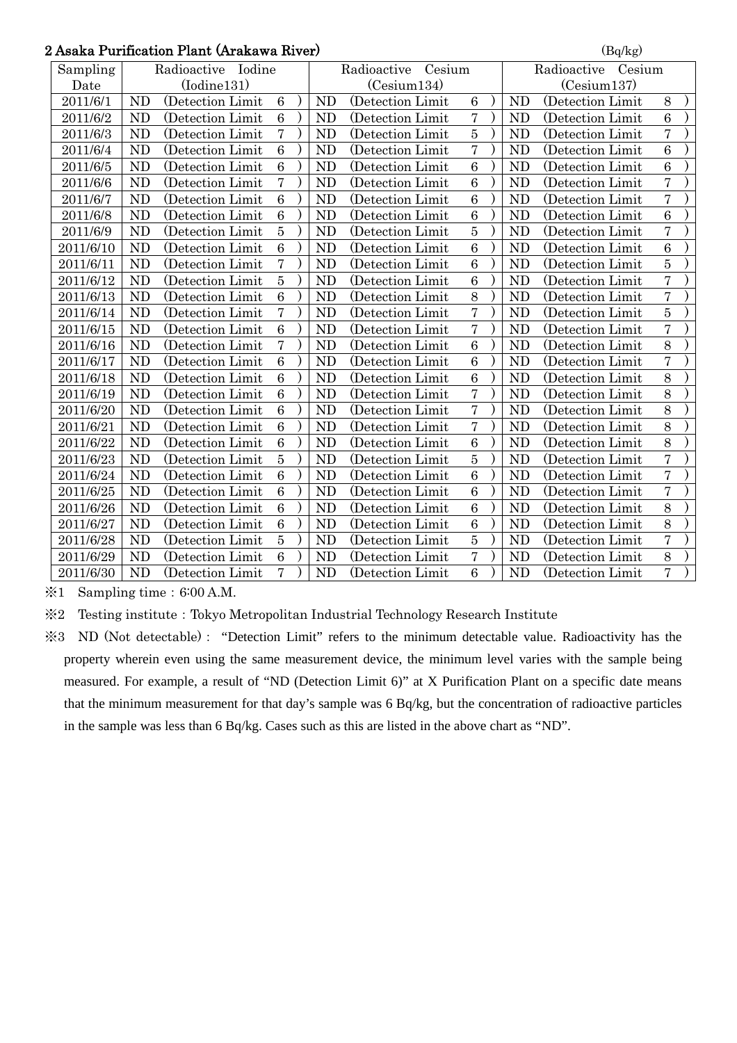## 2 Asaka Purification Plant (Arakawa River)  $\left( \frac{B}{Bq/kg} \right)$

| Asaka Purincation Piant (Arakawa River) |                                                |                   |                 |  |                |                   |                |                |                       |                 |  |  |  |
|-----------------------------------------|------------------------------------------------|-------------------|-----------------|--|----------------|-------------------|----------------|----------------|-----------------------|-----------------|--|--|--|
| Sampling                                | Iodine<br>Radioactive<br>Cesium<br>Radioactive |                   |                 |  |                |                   |                |                | Radioactive<br>Cesium |                 |  |  |  |
| Date                                    | (Iodine131)                                    |                   |                 |  | (Cesium134)    |                   |                | (Cesium137)    |                       |                 |  |  |  |
| 2011/6/1                                | <b>ND</b>                                      | (Detection Limit  | $6\phantom{1}6$ |  | <b>ND</b>      | (Detection Limit  | 6              | <b>ND</b>      | (Detection Limit      | 8               |  |  |  |
| 2011/6/2                                | <b>ND</b>                                      | (Detection Limit  | $\,6$           |  | N <sub>D</sub> | (Detection Limit) | $\overline{7}$ | N <sub>D</sub> | (Detection Limit      | $6\phantom{1}6$ |  |  |  |
| 2011/6/3                                | <b>ND</b>                                      | (Detection Limit  | $\overline{7}$  |  | <b>ND</b>      | (Detection Limit) | $\overline{5}$ | <b>ND</b>      | (Detection Limit)     | $\overline{7}$  |  |  |  |
| 2011/6/4                                | <b>ND</b>                                      | (Detection Limit  | 6               |  | <b>ND</b>      | (Detection Limit  | $\overline{7}$ | <b>ND</b>      | (Detection Limit      | $\overline{6}$  |  |  |  |
| 2011/6/5                                | <b>ND</b>                                      | (Detection Limit  | $6\phantom{1}6$ |  | <b>ND</b>      | (Detection Limit  | $\overline{6}$ | N <sub>D</sub> | (Detection Limit      | 6               |  |  |  |
| 2011/6/6                                | <b>ND</b>                                      | (Detection Limit  | $\overline{7}$  |  | <b>ND</b>      | (Detection Limit  | $\overline{6}$ | <b>ND</b>      | (Detection Limit)     | $\overline{7}$  |  |  |  |
| 2011/6/7                                | <b>ND</b>                                      | (Detection Limit  | $6\phantom{1}$  |  | <b>ND</b>      | (Detection Limit  | 6              | <b>ND</b>      | (Detection Limit      | $\overline{7}$  |  |  |  |
| 2011/6/8                                | <b>ND</b>                                      | (Detection Limit) | $\overline{6}$  |  | <b>ND</b>      | (Detection Limit) | 6              | <b>ND</b>      | (Detection Limit      | $\overline{6}$  |  |  |  |
| 2011/6/9                                | <b>ND</b>                                      | (Detection Limit  | $\overline{5}$  |  | <b>ND</b>      | (Detection Limit  | $\overline{5}$ | <b>ND</b>      | (Detection Limit)     | $\overline{7}$  |  |  |  |
| 2011/6/10                               | <b>ND</b>                                      | (Detection Limit  | $\overline{6}$  |  | <b>ND</b>      | (Detection Limit) | 6              | N <sub>D</sub> | (Detection Limit)     | $\overline{6}$  |  |  |  |
| 2011/6/11                               | <b>ND</b>                                      | (Detection Limit  | $\overline{7}$  |  | <b>ND</b>      | (Detection Limit  | $\overline{6}$ | <b>ND</b>      | (Detection Limit      | $\overline{5}$  |  |  |  |
| 2011/6/12                               | <b>ND</b>                                      | (Detection Limit  | $\overline{5}$  |  | <b>ND</b>      | (Detection Limit  | $\overline{6}$ | <b>ND</b>      | (Detection Limit)     | $\overline{7}$  |  |  |  |
| 2011/6/13                               | <b>ND</b>                                      | (Detection Limit  | $\overline{6}$  |  | <b>ND</b>      | (Detection Limit) | 8              | <b>ND</b>      | (Detection Limit)     | $\overline{7}$  |  |  |  |
| 2011/6/14                               | <b>ND</b>                                      | (Detection Limit  | $\overline{7}$  |  | <b>ND</b>      | (Detection Limit) | $\overline{7}$ | <b>ND</b>      | (Detection Limit)     | $\overline{5}$  |  |  |  |
| 2011/6/15                               | <b>ND</b>                                      | (Detection Limit) | $\,6$           |  | <b>ND</b>      | (Detection Limit) | $\overline{7}$ | <b>ND</b>      | (Detection Limit)     | $\overline{7}$  |  |  |  |
| 2011/6/16                               | <b>ND</b>                                      | (Detection Limit  | $\overline{7}$  |  | <b>ND</b>      | (Detection Limit  | $\overline{6}$ | <b>ND</b>      | (Detection Limit      | 8               |  |  |  |
| 2011/6/17                               | <b>ND</b>                                      | (Detection Limit  | 6               |  | <b>ND</b>      | (Detection Limit  | 6              | <b>ND</b>      | (Detection Limit      | $\overline{7}$  |  |  |  |
| 2011/6/18                               | <b>ND</b>                                      | (Detection Limit) | $\,6\,$         |  | <b>ND</b>      | (Detection Limit) | $\overline{6}$ | <b>ND</b>      | (Detection Limit)     | 8               |  |  |  |
| 2011/6/19                               | <b>ND</b>                                      | (Detection Limit  | $\overline{6}$  |  | <b>ND</b>      | (Detection Limit  | $\overline{7}$ | <b>ND</b>      | (Detection Limit      | 8               |  |  |  |
| 2011/6/20                               | <b>ND</b>                                      | (Detection Limit  | $\overline{6}$  |  | <b>ND</b>      | (Detection Limit  | $\overline{7}$ | <b>ND</b>      | (Detection Limit      | $\overline{8}$  |  |  |  |
| 2011/6/21                               | <b>ND</b>                                      | (Detection Limit  | 6               |  | <b>ND</b>      | (Detection Limit  | $\overline{7}$ | <b>ND</b>      | (Detection Limit)     | 8               |  |  |  |
| 2011/6/22                               | <b>ND</b>                                      | (Detection Limit  | $\,6$           |  | <b>ND</b>      | (Detection Limit  | $\overline{6}$ | <b>ND</b>      | (Detection Limit      | 8               |  |  |  |
| 2011/6/23                               | <b>ND</b>                                      | (Detection Limit  | $\overline{5}$  |  | <b>ND</b>      | (Detection Limit  | $\overline{5}$ | <b>ND</b>      | (Detection Limit      | $\overline{7}$  |  |  |  |
| 2011/6/24                               | <b>ND</b>                                      | (Detection Limit  | $\overline{6}$  |  | <b>ND</b>      | (Detection Limit  | $\overline{6}$ | <b>ND</b>      | (Detection Limit      | $\overline{7}$  |  |  |  |
| 2011/6/25                               | <b>ND</b>                                      | (Detection Limit) | $6\phantom{1}6$ |  | <b>ND</b>      | (Detection Limit) | $\overline{6}$ | <b>ND</b>      | (Detection Limit)     | $\overline{7}$  |  |  |  |
| 2011/6/26                               | <b>ND</b>                                      | (Detection Limit  | $\overline{6}$  |  | <b>ND</b>      | (Detection Limit  | $\overline{6}$ | <b>ND</b>      | (Detection Limit      | 8               |  |  |  |
| 2011/6/27                               | <b>ND</b>                                      | (Detection Limit  | $\overline{6}$  |  | <b>ND</b>      | (Detection Limit  | $\overline{6}$ | <b>ND</b>      | (Detection Limit      | 8               |  |  |  |
| 2011/6/28                               | <b>ND</b>                                      | (Detection Limit) | $\overline{5}$  |  | <b>ND</b>      | (Detection Limit) | $\overline{5}$ | <b>ND</b>      | (Detection Limit)     | $\overline{7}$  |  |  |  |
| 2011/6/29                               | <b>ND</b>                                      | (Detection Limit  | $6\phantom{1}6$ |  | <b>ND</b>      | (Detection Limit  | $\overline{7}$ | <b>ND</b>      | (Detection Limit)     | 8               |  |  |  |
| 2011/6/30                               | <b>ND</b>                                      | (Detection Limit  | $\overline{7}$  |  | <b>ND</b>      | (Detection Limit  | $\overline{6}$ | <b>ND</b>      | (Detection Limit)     | $\overline{7}$  |  |  |  |

 $\text{\%}1$  Sampling time: 6:00 A.M.

※2 Testing institute:Tokyo Metropolitan Industrial Technology Research Institute

※3 ND (Not detectable): "Detection Limit" refers to the minimum detectable value. Radioactivity has the property wherein even using the same measurement device, the minimum level varies with the sample being measured. For example, a result of "ND (Detection Limit 6)" at X Purification Plant on a specific date means that the minimum measurement for that day's sample was 6 Bq/kg, but the concentration of radioactive particles in the sample was less than 6 Bq/kg. Cases such as this are listed in the above chart as "ND".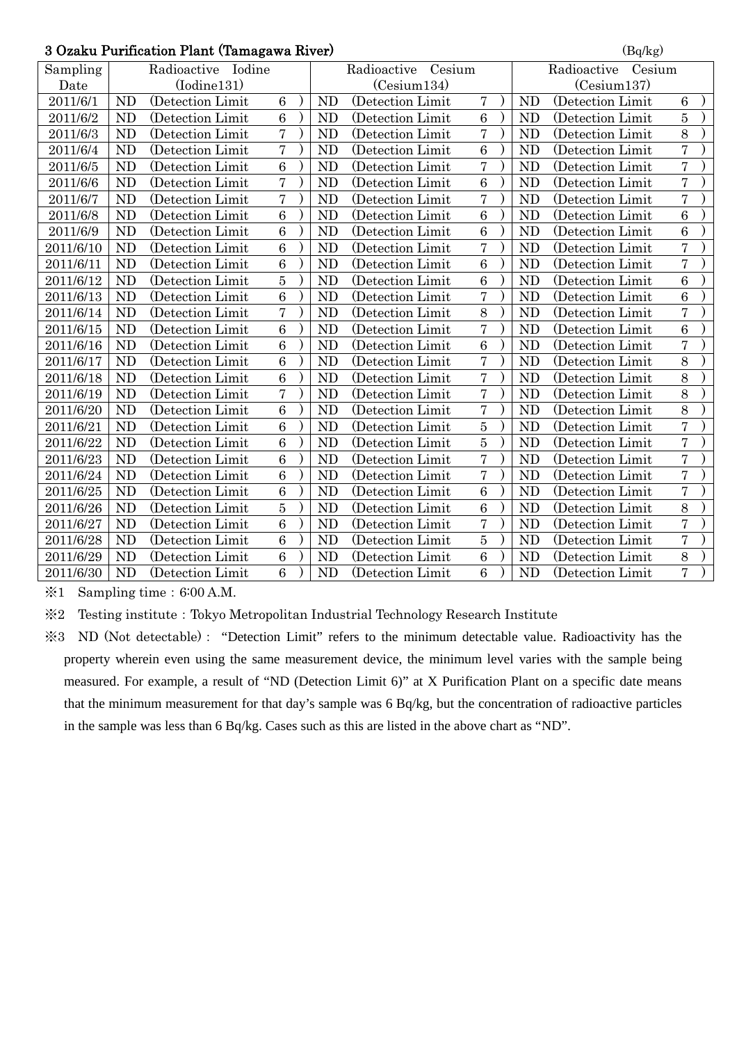#### $3$  Ozaku Purification Plant (Tamagawa River) (Bq/kg)

| o Ozaku Furfiication Fiant (Tamagawa Kiver)<br>(Dq/kg) |                                             |                   |                |  |                |                   |                  |                       |                   |                  |  |  |
|--------------------------------------------------------|---------------------------------------------|-------------------|----------------|--|----------------|-------------------|------------------|-----------------------|-------------------|------------------|--|--|
| Sampling                                               | Radioactive<br>Radioactive Iodine<br>Cesium |                   |                |  |                |                   |                  | Radioactive<br>Cesium |                   |                  |  |  |
| Date                                                   |                                             | (Iodine131)       |                |  | (Cesium134)    |                   |                  | (Cesium137)           |                   |                  |  |  |
| 2011/6/1                                               | <b>ND</b>                                   | (Detection Limit  | $6\phantom{a}$ |  | <b>ND</b>      | (Detection Limit  | $\overline{7}$   | <b>ND</b>             | (Detection Limit  | $6\phantom{.}6$  |  |  |
| 2011/6/2                                               | <b>ND</b>                                   | (Detection Limit  | 6              |  | <b>ND</b>      | (Detection Limit  | $6\phantom{1}6$  | <b>ND</b>             | (Detection Limit  | $\overline{5}$   |  |  |
| 2011/6/3                                               | <b>ND</b>                                   | (Detection Limit  | $\overline{7}$ |  | <b>ND</b>      | (Detection Limit  | $\overline{7}$   | <b>ND</b>             | (Detection Limit) | 8                |  |  |
| 2011/6/4                                               | <b>ND</b>                                   | (Detection Limit) | $\overline{7}$ |  | <b>ND</b>      | (Detection Limit) | 6                | <b>ND</b>             | (Detection Limit  | $\overline{7}$   |  |  |
| 2011/6/5                                               | <b>ND</b>                                   | (Detection Limit) | 6              |  | <b>ND</b>      | (Detection Limit) | $\overline{7}$   | <b>ND</b>             | (Detection Limit) | $\overline{7}$   |  |  |
| 2011/6/6                                               | <b>ND</b>                                   | (Detection Limit  | $\overline{7}$ |  | <b>ND</b>      | (Detection Limit  | $\boldsymbol{6}$ | <b>ND</b>             | (Detection Limit  | $\overline{7}$   |  |  |
| 2011/6/7                                               | N <sub>D</sub>                              | (Detection Limit  | $\overline{7}$ |  | <b>ND</b>      | (Detection Limit) | $\overline{7}$   | <b>ND</b>             | (Detection Limit  | $\overline{7}$   |  |  |
| 2011/6/8                                               | N <sub>D</sub>                              | (Detection Limit  | 6              |  | <b>ND</b>      | (Detection Limit  | 6                | <b>ND</b>             | (Detection Limit  | $6\phantom{.}6$  |  |  |
| 2011/6/9                                               | <b>ND</b>                                   | (Detection Limit  | 6              |  | <b>ND</b>      | (Detection Limit  | $\overline{6}$   | <b>ND</b>             | (Detection Limit  | 6                |  |  |
| 2011/6/10                                              | <b>ND</b>                                   | (Detection Limit) | $\overline{6}$ |  | <b>ND</b>      | (Detection Limit) | $\overline{7}$   | <b>ND</b>             | (Detection Limit) | $\overline{7}$   |  |  |
| 2011/6/11                                              | <b>ND</b>                                   | (Detection Limit) | $\overline{6}$ |  | <b>ND</b>      | (Detection Limit) | 6                | <b>ND</b>             | (Detection Limit) | $\overline{7}$   |  |  |
| 2011/6/12                                              | <b>ND</b>                                   | (Detection Limit) | $\overline{5}$ |  | <b>ND</b>      | (Detection Limit) | $\overline{6}$   | <b>ND</b>             | (Detection Limit) | $\overline{6}$   |  |  |
| 2011/6/13                                              | <b>ND</b>                                   | (Detection Limit  | $\overline{6}$ |  | <b>ND</b>      | (Detection Limit  | $\overline{7}$   | ND                    | (Detection Limit  | 6                |  |  |
| 2011/6/14                                              | <b>ND</b>                                   | (Detection Limit  | $\overline{7}$ |  | N <sub>D</sub> | (Detection Limit  | 8                | <b>ND</b>             | (Detection Limit  | $\overline{7}$   |  |  |
| 2011/6/15                                              | <b>ND</b>                                   | (Detection Limit) | 6              |  | <b>ND</b>      | (Detection Limit) | $\overline{7}$   | <b>ND</b>             | (Detection Limit) | 6                |  |  |
| 2011/6/16                                              | N <sub>D</sub>                              | (Detection Limit  | $\overline{6}$ |  | <b>ND</b>      | (Detection Limit  | 6                | <b>ND</b>             | (Detection Limit  | $\overline{7}$   |  |  |
| 2011/6/17                                              | <b>ND</b>                                   | (Detection Limit) | $\overline{6}$ |  | <b>ND</b>      | (Detection Limit) | $\overline{7}$   | <b>ND</b>             | (Detection Limit) | 8                |  |  |
| 2011/6/18                                              | <b>ND</b>                                   | (Detection Limit) | $\,6\,$        |  | <b>ND</b>      | (Detection Limit) | $\overline{7}$   | <b>ND</b>             | (Detection Limit) | 8                |  |  |
| 2011/6/19                                              | <b>ND</b>                                   | (Detection Limit  | $\overline{7}$ |  | <b>ND</b>      | (Detection Limit  | $\overline{7}$   | <b>ND</b>             | (Detection Limit  | 8                |  |  |
| 2011/6/20                                              | <b>ND</b>                                   | (Detection Limit  | $\overline{6}$ |  | <b>ND</b>      | (Detection Limit) | $\overline{7}$   | <b>ND</b>             | (Detection Limit) | 8                |  |  |
| 2011/6/21                                              | <b>ND</b>                                   | (Detection Limit  | $\overline{6}$ |  | <b>ND</b>      | (Detection Limit  | $\overline{5}$   | <b>ND</b>             | (Detection Limit  | $\overline{7}$   |  |  |
| 2011/6/22                                              | <b>ND</b>                                   | (Detection Limit) | 6              |  | <b>ND</b>      | (Detection Limit  | $\overline{5}$   | <b>ND</b>             | (Detection Limit) | $\overline{7}$   |  |  |
| 2011/6/23                                              | <b>ND</b>                                   | (Detection Limit) | 6              |  | <b>ND</b>      | (Detection Limit) | $\overline{7}$   | <b>ND</b>             | (Detection Limit) | $\overline{7}$   |  |  |
| 2011/6/24                                              | <b>ND</b>                                   | (Detection Limit) | 6              |  | N <sub>D</sub> | (Detection Limit) | $\overline{7}$   | N <sub>D</sub>        | (Detection Limit  | $\overline{7}$   |  |  |
| 2011/6/25                                              | <b>ND</b>                                   | (Detection Limit) | $\overline{6}$ |  | <b>ND</b>      | (Detection Limit) | $\overline{6}$   | <b>ND</b>             | (Detection Limit  | $\overline{7}$   |  |  |
| 2011/6/26                                              | <b>ND</b>                                   | (Detection Limit  | $\overline{5}$ |  | <b>ND</b>      | (Detection Limit  | $\overline{6}$   | <b>ND</b>             | (Detection Limit  | 8                |  |  |
| 2011/6/27                                              | N <sub>D</sub>                              | (Detection Limit  | $\overline{6}$ |  | <b>ND</b>      | (Detection Limit  | $\overline{7}$   | <b>ND</b>             | (Detection Limit  | $\overline{7}$   |  |  |
| 2011/6/28                                              | <b>ND</b>                                   | (Detection Limit  | 6              |  | N <sub>D</sub> | (Detection Limit  | $\overline{5}$   | <b>ND</b>             | (Detection Limit  | $\overline{7}$   |  |  |
| 2011/6/29                                              | <b>ND</b>                                   | (Detection Limit) | $\,6\,$        |  | <b>ND</b>      | (Detection Limit  | $\,6$            | N <sub>D</sub>        | (Detection Limit) | $\boldsymbol{8}$ |  |  |
| 2011/6/30                                              | <b>ND</b>                                   | (Detection Limit  | $\overline{6}$ |  | <b>ND</b>      | (Detection Limit) | 6                | <b>ND</b>             | (Detection Limit) | $\overline{7}$   |  |  |

 $\text{\%}1$  Sampling time: 6:00 A.M.

※2 Testing institute:Tokyo Metropolitan Industrial Technology Research Institute

※3 ND (Not detectable): "Detection Limit" refers to the minimum detectable value. Radioactivity has the property wherein even using the same measurement device, the minimum level varies with the sample being measured. For example, a result of "ND (Detection Limit 6)" at X Purification Plant on a specific date means that the minimum measurement for that day's sample was 6 Bq/kg, but the concentration of radioactive particles in the sample was less than 6 Bq/kg. Cases such as this are listed in the above chart as "ND".